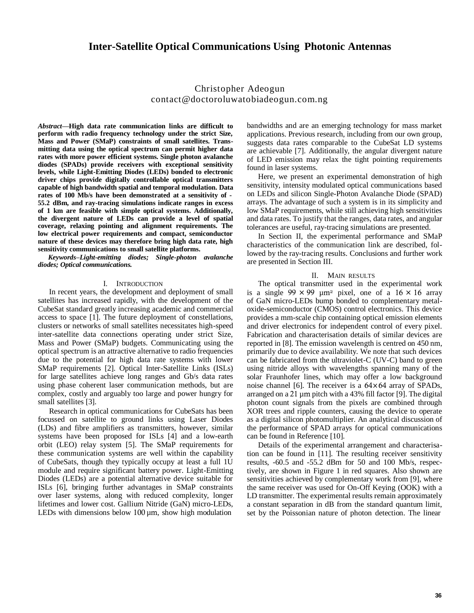# Christopher Adeogun contact@doctoroluwatobiadeogun.com.ng

*Abstract***—High data rate communication links are difficult to perform with radio frequency technology under the strict Size, Mass and Power (SMaP) constraints of small satellites. Transmitting data using the optical spectrum can permit higher data rates with more power efficient systems. Single photon avalanche diodes (SPADs) provide receivers with exceptional sensitivity levels, while Light-Emitting Diodes (LEDs) bonded to electronic driver chips provide digitally controllable optical transmitters capable of high bandwidth spatial and temporal modulation. Data rates of 100 Mb/s have been demonstrated at a sensitivity of - 55.2 dBm, and ray-tracing simulations indicate ranges in excess of 1 km are feasible with simple optical systems. Additionally, the divergent nature of LEDs can provide a level of spatial coverage, relaxing pointing and alignment requirements. The low electrical power requirements and compact, semiconductor nature of these devices may therefore bring high data rate, high sensitivity communications to small satellite platforms.**

*Keywords***–***Light-emitting diodes; Single-photon avalanche diodes; Optical communications.*

## I. INTRODUCTION

In recent years, the development and deployment of small satellites has increased rapidly, with the development of the CubeSat standard greatly increasing academic and commercial access to space [1]. The future deployment of constellations, clusters or networks of small satellites necessitates high-speed inter-satellite data connections operating under strict Size, Mass and Power (SMaP) budgets. Communicating using the optical spectrum is an attractive alternative to radio frequencies due to the potential for high data rate systems with lower SMaP requirements [2]. Optical Inter-Satellite Links (ISLs) for large satellites achieve long ranges and Gb/s data rates using phase coherent laser communication methods, but are complex, costly and arguably too large and power hungry for small satellites [3].

Research in optical communications for CubeSats has been focussed on satellite to ground links using Laser Diodes (LDs) and fibre amplifiers as transmitters, however, similar systems have been proposed for ISLs [4] and a low-earth orbit (LEO) relay system [5]. The SMaP requirements for these communication systems are well within the capability of CubeSats, though they typically occupy at least a full 1U module and require significant battery power. Light-Emitting Diodes (LEDs) are a potential alternative device suitable for ISLs [6], bringing further advantages in SMaP constraints over laser systems, along with reduced complexity, longer lifetimes and lower cost. Gallium Nitride (GaN) micro-LEDs, LEDs with dimensions below  $100 \mu m$ , show high modulation

bandwidths and are an emerging technology for mass market applications. Previous research, including from our own group, suggests data rates comparable to the CubeSat LD systems are achievable [7]. Additionally, the angular divergent nature of LED emission may relax the tight pointing requirements found in laser systems.

Here, we present an experimental demonstration of high sensitivity, intensity modulated optical communications based on LEDs and silicon Single-Photon Avalanche Diode (SPAD) arrays. The advantage of such a system is in its simplicity and low SMaP requirements, while still achieving high sensitivities and data rates. To justify that the ranges, data rates, and angular tolerances are useful, ray-tracing simulations are presented.

In Section II, the experimental performance and SMaP characteristics of the communication link are described, followed by the ray-tracing results. Conclusions and further work are presented in Section III.

### II. MAIN RESULTS

noise channel [6]. The receiver is a  $64 \times 64$  array of SPADs, is a single  $99 \times 99 \mu m^2$  pixel, one of a  $16 \times 16$  array The optical transmitter used in the experimental work of GaN micro-LEDs bump bonded to complementary metaloxide-semiconductor (CMOS) control electronics. This device provides a mm-scale chip containing optical emission elements and driver electronics for independent control of every pixel. Fabrication and characterisation details of similar devices are reported in [8]. The emission wavelength is centred on 450 nm, primarily due to device availability. We note that such devices can be fabricated from the ultraviolet-C (UV-C) band to green using nitride alloys with wavelengths spanning many of the solar Fraunhofer lines, which may offer a low background arranged on a 21 µm pitch with a 43% fill factor [9]. The digital photon count signals from the pixels are combined through XOR trees and ripple counters, causing the device to operate as a digital silicon photomultiplier. An analytical discussion of the performance of SPAD arrays for optical communications can be found in Reference [10].

Details of the experimental arrangement and characterisation can be found in [11]. The resulting receiver sensitivity results, -60.5 and -55.2 dBm for 50 and 100 Mb/s, respectively, are shown in Figure 1 in red squares. Also shown are sensitivities achieved by complementary work from [9], where the same receiver was used for On-Off Keying (OOK) with a LD transmitter. The experimental results remain approximately a constant separation in dB from the standard quantum limit, set by the Poissonian nature of photon detection. The linear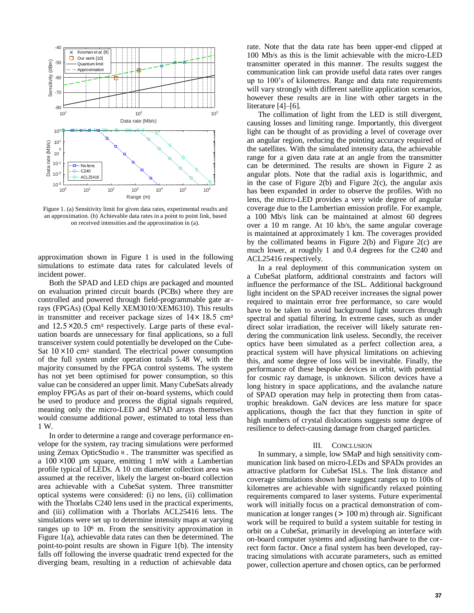

Figure 1. (a) Sensitivity limit for given data rates, experimental results and an approximation. (b) Achievable data rates in a point to point link, based on received intensities and the approximation in (a).

approximation shown in Figure 1 is used in the following simulations to estimate data rates for calculated levels of incident power.

*×* and 12*.*5 20*.*5 cm<sup>2</sup> respectively. Large parts of these evalin transmitter and receiver package sizes of  $14 \times 18.5$  cm<sup>2</sup> Sat 10 × 10 cm<sup>2</sup> standard. The electrical power consumption Both the SPAD and LED chips are packaged and mounted on evaluation printed circuit boards (PCBs) where they are controlled and powered through field-programmable gate arrays (FPGAs) (Opal Kelly XEM3010/XEM6310). This results uation boards are unnecessary for final applications, so a full transceiver system could potentially be developed on the Cubeof the full system under operation totals 5.48 W, with the majority consumed by the FPGA control systems. The system has not yet been optimised for power consumption, so this value can be considered an upper limit. Many CubeSats already employ FPGAs as part of their on-board systems, which could be used to produce and process the digital signals required, meaning only the micro-LED and SPAD arrays themselves would consume additional power, estimated to total less than 1 W.

a 100 × 100 µm square, emitting 1 mW with a Lambertian In order to determine a range and coverage performance envelope for the system, ray tracing simulations were performed using Zemax OpticStudio <sup>R</sup>. The transmitter was specified as profile typical of LEDs. A 10 cm diameter collection area was assumed at the receiver, likely the largest on-board collection area achievable with a CubeSat system. Three transmitter optical systems were considered: (i) no lens, (ii) collimation with the Thorlabs C240 lens used in the practical experiments, and (iii) collimation with a Thorlabs ACL25416 lens. The simulations were set up to determine intensity maps at varying ranges up to 10<sup>6</sup> m. From the sensitivity approximation in Figure 1(a), achievable data rates can then be determined. The point-to-point results are shown in Figure 1(b). The intensity falls off following the inverse quadratic trend expected for the diverging beam, resulting in a reduction of achievable data

rate. Note that the data rate has been upper-end clipped at 100 Mb/s as this is the limit achievable with the micro-LED transmitter operated in this manner. The results suggest the communication link can provide useful data rates over ranges up to 100's of kilometres. Range and data rate requirements will vary strongly with different satellite application scenarios, however these results are in line with other targets in the literature [4]–[6].

The collimation of light from the LED is still divergent, causing losses and limiting range. Importantly, this divergent light can be thought of as providing a level of coverage over an angular region, reducing the pointing accuracy required of the satellites. With the simulated intensity data, the achievable range for a given data rate at an angle from the transmitter can be determined. The results are shown in Figure 2 as angular plots. Note that the radial axis is logarithmic, and in the case of Figure  $2(b)$  and Figure  $2(c)$ , the angular axis has been expanded in order to observe the profiles. With no lens, the micro-LED provides a very wide degree of angular coverage due to the Lambertian emission profile. For example, a 100 Mb/s link can be maintained at almost 60 degrees over a 10 m range. At 10 kb/s, the same angular coverage is maintained at approximately 1 km. The coverages provided by the collimated beams in Figure 2(b) and Figure 2(c) are much lower, at roughly 1 and 0.4 degrees for the C240 and ACL25416 respectively.

In a real deployment of this communication system on a CubeSat platform, additional constraints and factors will influence the performance of the ISL. Additional background light incident on the SPAD receiver increases the signal power required to maintain error free performance, so care would have to be taken to avoid background light sources through spectral and spatial filtering. In extreme cases, such as under direct solar irradiation, the receiver will likely saturate rendering the communication link useless. Secondly, the receiver optics have been simulated as a perfect collection area, a practical system will have physical limitations on achieving this, and some degree of loss will be inevitable. Finally, the performance of these bespoke devices in orbit, with potential for cosmic ray damage, is unknown. Silicon devices have a long history in space applications, and the avalanche nature of SPAD operation may help in protecting them from catastrophic breakdown. GaN devices are less mature for space applications, though the fact that they function in spite of high numbers of crystal dislocations suggests some degree of resilience to defect-causing damage from charged particles.

### III. CONCLUSION

In summary, a simple, low SMaP and high sensitivity communication link based on micro-LEDs and SPADs provides an attractive platform for CubeSat ISLs. The link distance and coverage simulations shown here suggest ranges up to 100s of kilometres are achievable with significantly relaxed pointing requirements compared to laser systems. Future experimental work will initially focus on a practical demonstration of communication at longer ranges (*>* 100 m) through air. Significant work will be required to build a system suitable for testing in orbit on a CubeSat, primarily in developing an interface with on-board computer systems and adjusting hardware to the correct form factor. Once a final system has been developed, raytracing simulations with accurate parameters, such as emitted power, collection aperture and chosen optics, can be performed